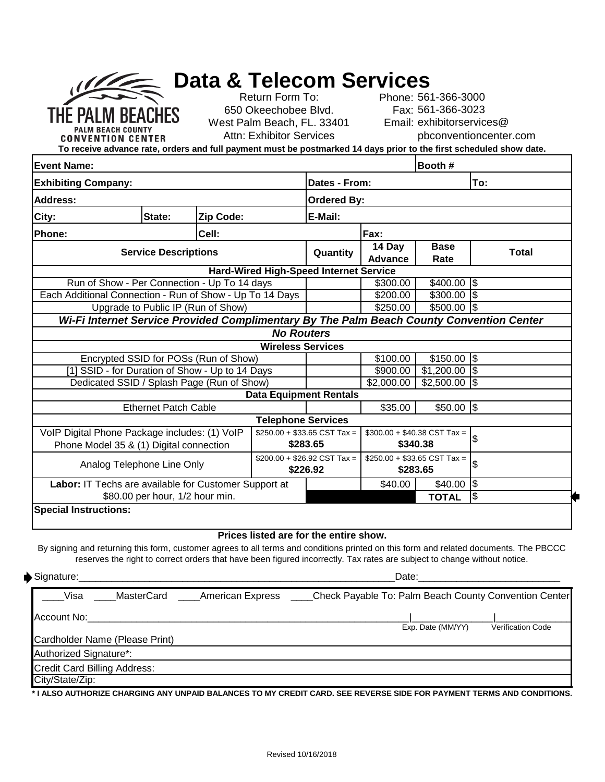|                                                                                                                                       |                                           |           |                                                  |                                                  | <b>Data &amp; Telecom Services</b> |                   |                   |
|---------------------------------------------------------------------------------------------------------------------------------------|-------------------------------------------|-----------|--------------------------------------------------|--------------------------------------------------|------------------------------------|-------------------|-------------------|
|                                                                                                                                       | Return Form To:<br>Phone: 561-366-3000    |           |                                                  |                                                  |                                    |                   |                   |
|                                                                                                                                       | 650 Okeechobee Blvd.<br>Fax: 561-366-3023 |           |                                                  |                                                  |                                    |                   |                   |
| THE PALM BEACHES<br>Email: exhibitorservices@<br>West Palm Beach, FL. 33401                                                           |                                           |           |                                                  |                                                  |                                    |                   |                   |
| <b>Attn: Exhibitor Services</b><br>pbconventioncenter.com<br><b>CONVENTION CENTER</b>                                                 |                                           |           |                                                  |                                                  |                                    |                   |                   |
| To receive advance rate, orders and full payment must be postmarked 14 days prior to the first scheduled show date.                   |                                           |           |                                                  |                                                  |                                    |                   |                   |
| <b>Event Name:</b>                                                                                                                    |                                           | Booth #   |                                                  |                                                  |                                    |                   |                   |
| <b>Exhibiting Company:</b>                                                                                                            |                                           |           |                                                  | Dates - From:                                    |                                    |                   | To:               |
| <b>Address:</b>                                                                                                                       |                                           |           |                                                  | <b>Ordered By:</b>                               |                                    |                   |                   |
| City:                                                                                                                                 | State:                                    | Zip Code: |                                                  | E-Mail:                                          |                                    |                   |                   |
| Phone:                                                                                                                                |                                           | Fax:      |                                                  |                                                  |                                    |                   |                   |
| <b>Service Descriptions</b>                                                                                                           |                                           |           |                                                  | Quantity                                         | 14 Day<br><b>Base</b>              |                   | <b>Total</b>      |
|                                                                                                                                       |                                           |           |                                                  |                                                  | <b>Advance</b>                     | Rate              |                   |
| <b>Hard-Wired High-Speed Internet Service</b>                                                                                         |                                           |           |                                                  |                                                  |                                    |                   |                   |
| Run of Show - Per Connection - Up To 14 days                                                                                          |                                           |           |                                                  |                                                  | \$300.00                           | $$400.00$ \$      |                   |
| Each Additional Connection - Run of Show - Up To 14 Days                                                                              |                                           |           |                                                  |                                                  | \$200.00                           | $$300.00$ \$      |                   |
| Upgrade to Public IP (Run of Show)<br>Wi-Fi Internet Service Provided Complimentary By The Palm Beach County Convention Center        |                                           |           |                                                  |                                                  | \$250.00                           | $$500.00$ \$      |                   |
|                                                                                                                                       |                                           |           |                                                  |                                                  |                                    |                   |                   |
|                                                                                                                                       |                                           |           | <b>No Routers</b>                                |                                                  |                                    |                   |                   |
| <b>Wireless Services</b><br>$$1\overline{50.00}$ \$                                                                                   |                                           |           |                                                  |                                                  |                                    |                   |                   |
| Encrypted SSID for POSs (Run of Show)<br>[1] SSID - for Duration of Show - Up to 14 Days                                              |                                           |           |                                                  |                                                  | \$100.00<br>\$900.00               | $$1,200.00$ \\$   |                   |
| Dedicated SSID / Splash Page (Run of Show)                                                                                            |                                           |           |                                                  |                                                  | \$2,000.00                         | $$2,500.00$ \\$   |                   |
|                                                                                                                                       | <b>Data Equipment Rentals</b>             |           |                                                  |                                                  |                                    |                   |                   |
| <b>Ethernet Patch Cable</b>                                                                                                           |                                           | \$35.00   | $$50.00$ \$                                      |                                                  |                                    |                   |                   |
| <b>Telephone Services</b>                                                                                                             |                                           |           |                                                  |                                                  |                                    |                   |                   |
| VoIP Digital Phone Package includes: (1) VoIP<br>$$250.00 + $33.65 \text{ CST Tax} =$<br>$$300.00 + $40.38 \text{ CST Tax} =$         |                                           |           |                                                  |                                                  |                                    |                   |                   |
| Phone Model 35 & (1) Digital connection                                                                                               |                                           |           |                                                  | \$283.65                                         | \$340.38                           |                   | \$                |
| Analog Telephone Line Only                                                                                                            |                                           |           | $$200.00 + $26.92 \text{ CST Tax} =$<br>\$226.92 | $$250.00 + $33.65 \text{ CST Tax} =$<br>\$283.65 |                                    | \$                |                   |
| Labor: IT Techs are available for Customer Support at                                                                                 |                                           |           |                                                  |                                                  | \$40.00                            | $$40.00$ \\$      |                   |
| \$80.00 per hour, 1/2 hour min.                                                                                                       |                                           |           |                                                  |                                                  |                                    | <b>TOTAL</b>      | \$                |
| <b>Special Instructions:</b>                                                                                                          |                                           |           |                                                  |                                                  |                                    |                   |                   |
|                                                                                                                                       |                                           |           | Prices listed are for the entire show.           |                                                  |                                    |                   |                   |
| By signing and returning this form, customer agrees to all terms and conditions printed on this form and related documents. The PBCCC |                                           |           |                                                  |                                                  |                                    |                   |                   |
| reserves the right to correct orders that have been figured incorrectly. Tax rates are subject to change without notice.              |                                           |           |                                                  |                                                  |                                    |                   |                   |
| $\blacktriangleright$ Signature:                                                                                                      |                                           |           |                                                  |                                                  |                                    |                   |                   |
| MasterCard _____American Express ___<br>Check Payable To: Palm Beach County Convention Center<br>Visa                                 |                                           |           |                                                  |                                                  |                                    |                   |                   |
| <u> 1980 - Jan James James Barnett, fransk politik (d. 1980)</u><br>Account No:                                                       |                                           |           |                                                  |                                                  |                                    |                   |                   |
| Cardholder Name (Please Print)                                                                                                        |                                           |           |                                                  |                                                  |                                    | Exp. Date (MM/YY) | Verification Code |
| Authorized Signature*:                                                                                                                |                                           |           |                                                  |                                                  |                                    |                   |                   |

Credit Card Billing Address:

City/State/Zip:

**\* I ALSO AUTHORIZE CHARGING ANY UNPAID BALANCES TO MY CREDIT CARD. SEE REVERSE SIDE FOR PAYMENT TERMS AND CONDITIONS.**